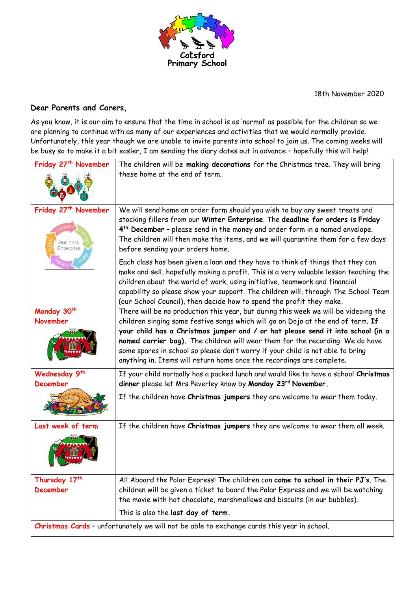

18th November 2020

## **Dear Parents and Carers,**

As you know, it is our aim to ensure that the time in school is as 'normal' as possible for the children so we are planning to continue with as many of our experiences and activities that we would normally provide. Unfortunately, this year though we are unable to invite parents into school to join us. The coming weeks will be busy so to make it a bit easier, I am sending the diary dates out in advance – hopefully this will help!

| Friday 27 <sup>th</sup> November                                                           | The children will be making decorations for the Christmas tree. They will bring<br>these home at the end of term.                                                                                                                                                                                                                                                                                                                                                                                      |
|--------------------------------------------------------------------------------------------|--------------------------------------------------------------------------------------------------------------------------------------------------------------------------------------------------------------------------------------------------------------------------------------------------------------------------------------------------------------------------------------------------------------------------------------------------------------------------------------------------------|
| Friday 27 <sup>th</sup> November<br><b>Business</b><br>Enterprise                          | We will send home an order form should you wish to buy any sweet treats and<br>stocking fillers from our Winter Enterprise. The deadline for orders is Friday<br>4 <sup>th</sup> December - please send in the money and order form in a named envelope.<br>The children will then make the items, and we will quarantine them for a few days<br>before sending your orders home.                                                                                                                      |
|                                                                                            | Each class has been given a loan and they have to think of things that they can<br>make and sell, hopefully making a profit. This is a very valuable lesson teaching the<br>children about the world of work, using initiative, teamwork and financial<br>capability so please show your support. The children will, through The School Team<br>(our School Council), then decide how to spend the profit they make.                                                                                   |
| Monday 30th<br>November                                                                    | There will be no production this year, but during this week we will be videoing the<br>children singing some festive songs which will go on Dojo at the end of term. If<br>your child has a Christmas jumper and / or hat please send it into school (in a<br>named carrier bag). The children will wear them for the recording. We do have<br>some spares in school so please don't worry if your child is not able to bring<br>anything in. Items will return home once the recordings are complete. |
| Wednesday 9th<br><b>December</b>                                                           | If your child normally has a packed lunch and would like to have a school Christmas<br>dinner please let Mrs Peverley know by Monday 23rd November.                                                                                                                                                                                                                                                                                                                                                    |
|                                                                                            | If the children have Christmas jumpers they are welcome to wear them today.                                                                                                                                                                                                                                                                                                                                                                                                                            |
| Last week of term                                                                          | If the children have Christmas jumpers they are welcome to wear them all week.                                                                                                                                                                                                                                                                                                                                                                                                                         |
| Thursday 17th<br><b>December</b>                                                           | All Aboard the Polar Express! The children can come to school in their PJ's. The<br>children will be given a ticket to board the Polar Express and we will be watching                                                                                                                                                                                                                                                                                                                                 |
|                                                                                            | the movie with hot chocolate, marshmallows and biscuits (in our bubbles).                                                                                                                                                                                                                                                                                                                                                                                                                              |
|                                                                                            | This is also the last day of term.                                                                                                                                                                                                                                                                                                                                                                                                                                                                     |
| Christmas Cards - unfortunately we will not be able to exchange cards this year in school. |                                                                                                                                                                                                                                                                                                                                                                                                                                                                                                        |